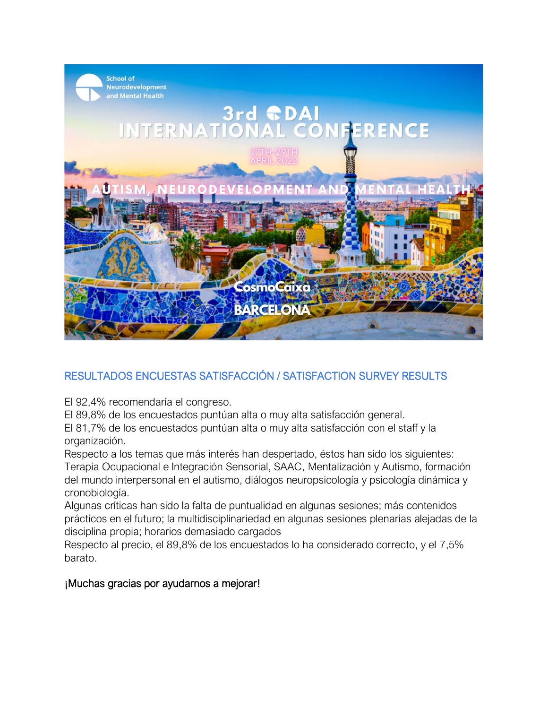

## RESULTADOS ENCUESTAS SATISFACCIÓN / SATISFACTION SURVEY RESULTS

El 92,4% recomendaría el congreso.

El 89,8% de los encuestados puntúan alta o muy alta satisfacción general.

El 81,7% de los encuestados puntúan alta o muy alta satisfacción con el staff y la organización.

Respecto a los temas que más interés han despertado, éstos han sido los siguientes: Terapia Ocupacional e Integración Sensorial, SAAC, Mentalización y Autismo, formación del mundo interpersonal en el autismo, diálogos neuropsicología y psicología dinámica y cronobiología.

Algunas críticas han sido la falta de puntualidad en algunas sesiones; más contenidos prácticos en el futuro; la multidisciplinariedad en algunas sesiones plenarias alejadas de la disciplina propia; horarios demasiado cargados

Respecto al precio, el 89,8% de los encuestados lo ha considerado correcto, y el 7,5% barato.

## ¡Muchas gracias por ayudarnos a mejorar!